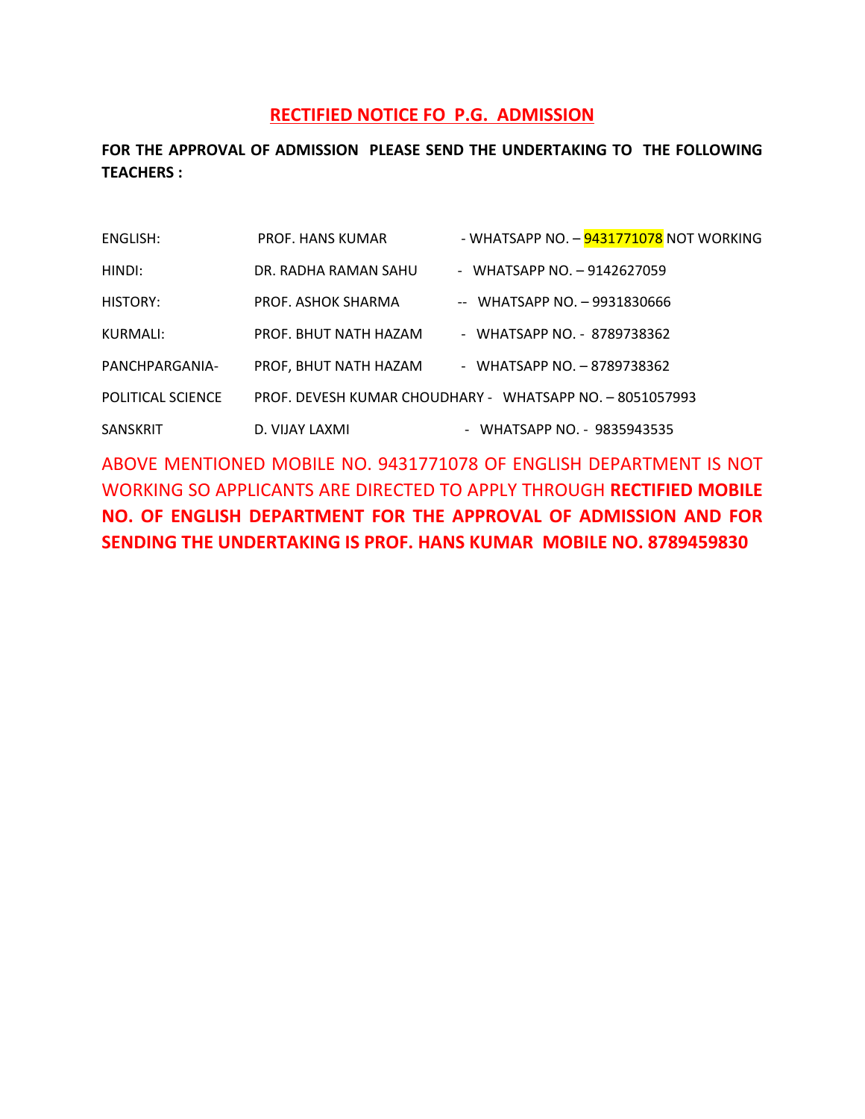## **RECTIFIED NOTICE FO P.G. ADMISSION**

**FOR THE APPROVAL OF ADMISSION PLEASE SEND THE UNDERTAKING TO THE FOLLOWING TEACHERS :** 

| ENGLISH:                 | PROF. HANS KUMAR      | - WHATSAPP NO. – <mark>9431771078</mark> NOT WORKING     |
|--------------------------|-----------------------|----------------------------------------------------------|
| HINDI:                   | DR. RADHA RAMAN SAHU  | - WHATSAPP NO. $-9142627059$                             |
| HISTORY:                 | PROF. ASHOK SHARMA    | $-$ WHATSAPP NO. $-$ 9931830666                          |
| KURMALI:                 | PROF. BHUT NATH HAZAM | - WHATSAPP NO. - 8789738362                              |
| PANCHPARGANIA-           | PROF, BHUT NATH HAZAM | - WHATSAPP NO. - 8789738362                              |
| <b>POLITICAL SCIENCE</b> |                       | PROF. DEVESH KUMAR CHOUDHARY - WHATSAPP NO. - 8051057993 |
| SANSKRIT                 | D. VIJAY LAXMI        | - WHATSAPP NO. - 9835943535                              |

ABOVE MENTIONED MOBILE NO. 9431771078 OF ENGLISH DEPARTMENT IS NOT WORKING SO APPLICANTS ARE DIRECTED TO APPLY THROUGH **RECTIFIED MOBILE NO. OF ENGLISH DEPARTMENT FOR THE APPROVAL OF ADMISSION AND FOR SENDING THE UNDERTAKING IS PROF. HANS KUMAR MOBILE NO. 8789459830**